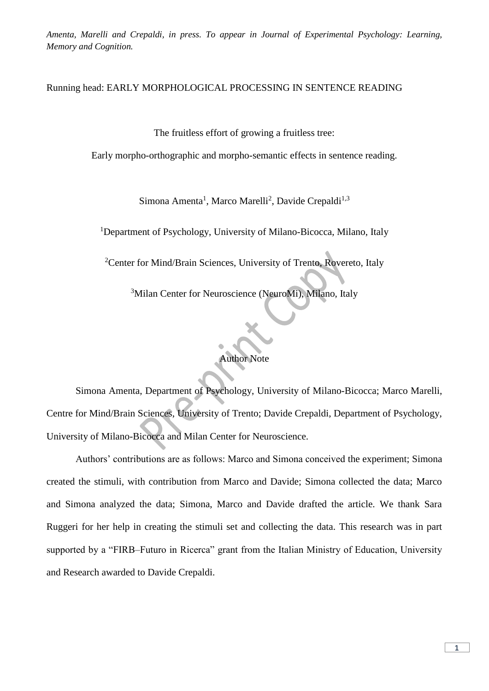## Running head: EARLY MORPHOLOGICAL PROCESSING IN SENTENCE READING

The fruitless effort of growing a fruitless tree:

Early morpho-orthographic and morpho-semantic effects in sentence reading.

Simona Amenta<sup>1</sup>, Marco Marelli<sup>2</sup>, Davide Crepaldi<sup>1,3</sup>

<sup>1</sup>Department of Psychology, University of Milano-Bicocca, Milano, Italy

<sup>2</sup>Center for Mind/Brain Sciences, University of Trento, Rovereto, Italy

<sup>3</sup>Milan Center for Neuroscience (NeuroMi), Milano, Italy

#### Author Note

Simona Amenta, Department of Psychology, University of Milano-Bicocca; Marco Marelli, Centre for Mind/Brain Sciences, University of Trento; Davide Crepaldi, Department of Psychology, University of Milano-Bicocca and Milan Center for Neuroscience.

Authors' contributions are as follows: Marco and Simona conceived the experiment; Simona created the stimuli, with contribution from Marco and Davide; Simona collected the data; Marco and Simona analyzed the data; Simona, Marco and Davide drafted the article. We thank Sara Ruggeri for her help in creating the stimuli set and collecting the data. This research was in part supported by a "FIRB–Futuro in Ricerca" grant from the Italian Ministry of Education, University and Research awarded to Davide Crepaldi.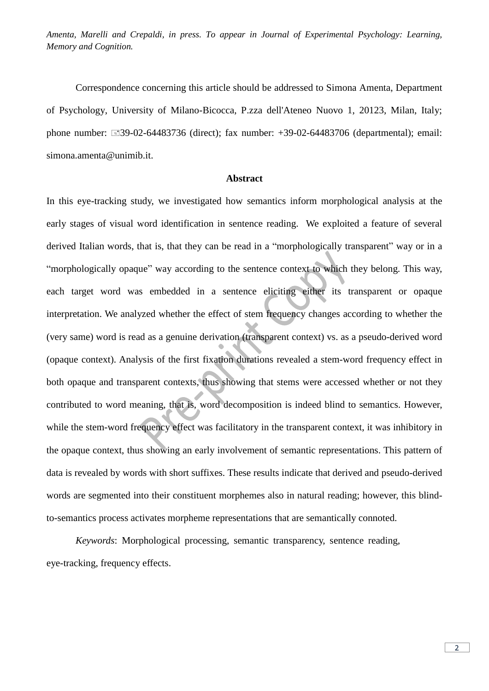Correspondence concerning this article should be addressed to Simona Amenta, Department of Psychology, University of Milano-Bicocca, P.zza dell'Ateneo Nuovo 1, 20123, Milan, Italy; phone number: 39-02-64483736 (direct); fax number: +39-02-64483706 (departmental); email: simona.amenta@unimib.it.

## **Abstract**

In this eye-tracking study, we investigated how semantics inform morphological analysis at the early stages of visual word identification in sentence reading. We exploited a feature of several derived Italian words, that is, that they can be read in a "morphologically transparent" way or in a "morphologically opaque" way according to the sentence context to which they belong. This way, each target word was embedded in a sentence eliciting either its transparent or opaque interpretation. We analyzed whether the effect of stem frequency changes according to whether the (very same) word is read as a genuine derivation (transparent context) vs. as a pseudo-derived word (opaque context). Analysis of the first fixation durations revealed a stem-word frequency effect in both opaque and transparent contexts, thus showing that stems were accessed whether or not they contributed to word meaning, that is, word decomposition is indeed blind to semantics. However, while the stem-word frequency effect was facilitatory in the transparent context, it was inhibitory in the opaque context, thus showing an early involvement of semantic representations. This pattern of data is revealed by words with short suffixes. These results indicate that derived and pseudo-derived words are segmented into their constituent morphemes also in natural reading; however, this blindto-semantics process activates morpheme representations that are semantically connoted.

*Keywords*: Morphological processing, semantic transparency, sentence reading, eye-tracking, frequency effects.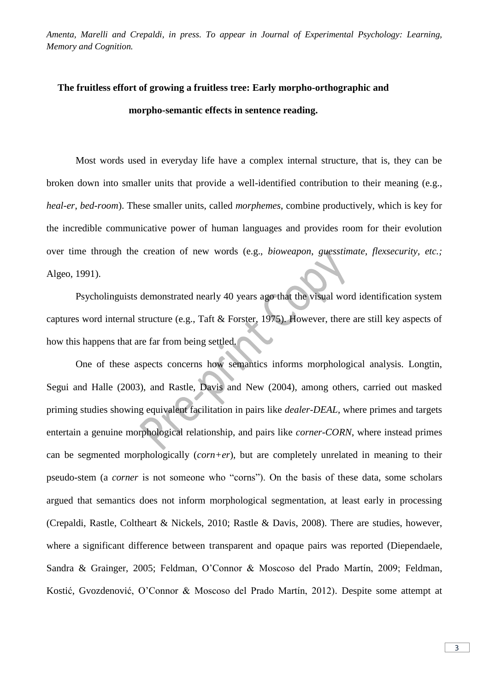# **The fruitless effort of growing a fruitless tree: Early morpho-orthographic and morpho-semantic effects in sentence reading.**

Most words used in everyday life have a complex internal structure, that is, they can be broken down into smaller units that provide a well-identified contribution to their meaning (e.g., *heal-er*, *bed-room*). These smaller units, called *morphemes*, combine productively, which is key for the incredible communicative power of human languages and provides room for their evolution over time through the creation of new words (e.g., *bioweapon*, *guesstimate*, *flexsecurity, etc.;*  Algeo, 1991).

Psycholinguists demonstrated nearly 40 years ago that the visual word identification system captures word internal structure (e.g., Taft & Forster, 1975). However, there are still key aspects of how this happens that are far from being settled.

One of these aspects concerns how semantics informs morphological analysis. Longtin, Segui and Halle (2003), and Rastle, Davis and New (2004), among others, carried out masked priming studies showing equivalent facilitation in pairs like *dealer-DEAL*, where primes and targets entertain a genuine morphological relationship, and pairs like *corner-CORN*, where instead primes can be segmented morphologically (*corn+er*), but are completely unrelated in meaning to their pseudo-stem (a *corner* is not someone who "corns"). On the basis of these data, some scholars argued that semantics does not inform morphological segmentation, at least early in processing (Crepaldi, Rastle, Coltheart & Nickels, 2010; Rastle & Davis, 2008). There are studies, however, where a significant difference between transparent and opaque pairs was reported (Diependaele, Sandra & Grainger, 2005; Feldman, O'Connor & Moscoso del Prado Martín, 2009; Feldman, Kostić, Gvozdenović, O'Connor & Moscoso del Prado Martín, 2012). Despite some attempt at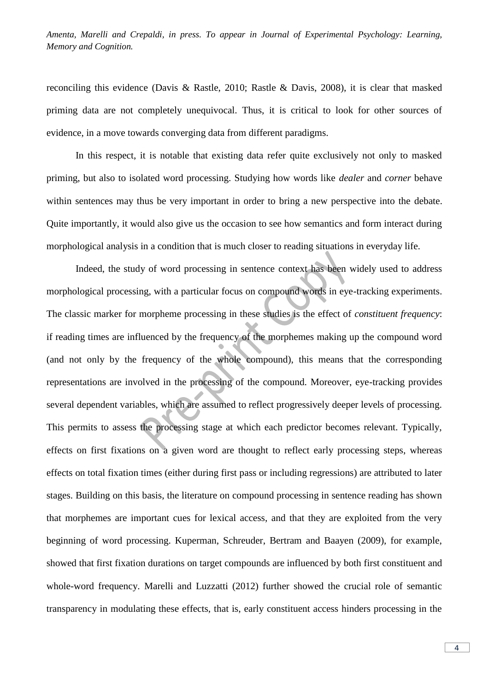reconciling this evidence (Davis & Rastle, 2010; Rastle & Davis, 2008), it is clear that masked priming data are not completely unequivocal. Thus, it is critical to look for other sources of evidence, in a move towards converging data from different paradigms.

In this respect, it is notable that existing data refer quite exclusively not only to masked priming, but also to isolated word processing. Studying how words like *dealer* and *corner* behave within sentences may thus be very important in order to bring a new perspective into the debate. Quite importantly, it would also give us the occasion to see how semantics and form interact during morphological analysis in a condition that is much closer to reading situations in everyday life.

Indeed, the study of word processing in sentence context has been widely used to address morphological processing, with a particular focus on compound words in eye-tracking experiments. The classic marker for morpheme processing in these studies is the effect of *constituent frequency*: if reading times are influenced by the frequency of the morphemes making up the compound word (and not only by the frequency of the whole compound), this means that the corresponding representations are involved in the processing of the compound. Moreover, eye-tracking provides several dependent variables, which are assumed to reflect progressively deeper levels of processing. This permits to assess the processing stage at which each predictor becomes relevant. Typically, effects on first fixations on a given word are thought to reflect early processing steps, whereas effects on total fixation times (either during first pass or including regressions) are attributed to later stages. Building on this basis, the literature on compound processing in sentence reading has shown that morphemes are important cues for lexical access, and that they are exploited from the very beginning of word processing. Kuperman, Schreuder, Bertram and Baayen (2009), for example, showed that first fixation durations on target compounds are influenced by both first constituent and whole-word frequency. Marelli and Luzzatti (2012) further showed the crucial role of semantic transparency in modulating these effects, that is, early constituent access hinders processing in the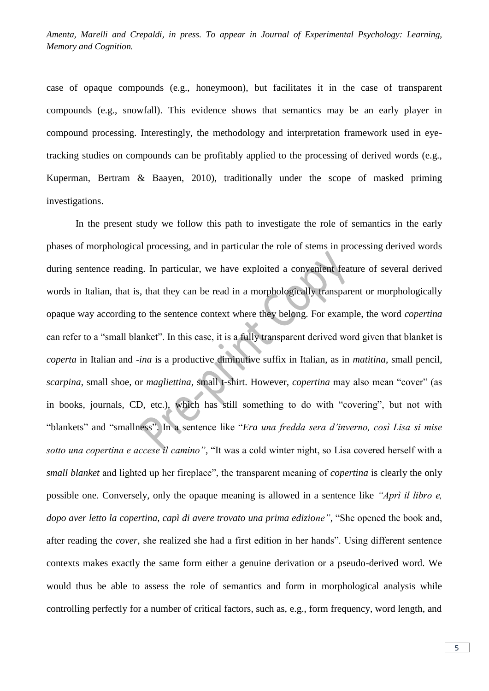case of opaque compounds (e.g., honeymoon), but facilitates it in the case of transparent compounds (e.g., snowfall). This evidence shows that semantics may be an early player in compound processing. Interestingly, the methodology and interpretation framework used in eyetracking studies on compounds can be profitably applied to the processing of derived words (e.g., Kuperman, Bertram & Baayen, 2010), traditionally under the scope of masked priming investigations.

In the present study we follow this path to investigate the role of semantics in the early phases of morphological processing, and in particular the role of stems in processing derived words during sentence reading. In particular, we have exploited a convenient feature of several derived words in Italian, that is, that they can be read in a morphologically transparent or morphologically opaque way according to the sentence context where they belong. For example, the word *copertina* can refer to a "small blanket". In this case, it is a fully transparent derived word given that blanket is *coperta* in Italian and *-ina* is a productive diminutive suffix in Italian, as in *matitina*, small pencil, *scarpina*, small shoe, or *magliettina*, small t-shirt. However, *copertina* may also mean "cover" (as in books, journals, CD, etc.), which has still something to do with "covering", but not with "blankets" and "smallness". In a sentence like "*Era una fredda sera d'inverno, così Lisa si mise sotto una copertina e accese il camino"*, "It was a cold winter night, so Lisa covered herself with a *small blanket* and lighted up her fireplace", the transparent meaning of *copertina* is clearly the only possible one. Conversely, only the opaque meaning is allowed in a sentence like *"Aprì il libro e, dopo aver letto la copertina, capì di avere trovato una prima edizione"*, "She opened the book and, after reading the *cover*, she realized she had a first edition in her hands". Using different sentence contexts makes exactly the same form either a genuine derivation or a pseudo-derived word. We would thus be able to assess the role of semantics and form in morphological analysis while controlling perfectly for a number of critical factors, such as, e.g., form frequency, word length, and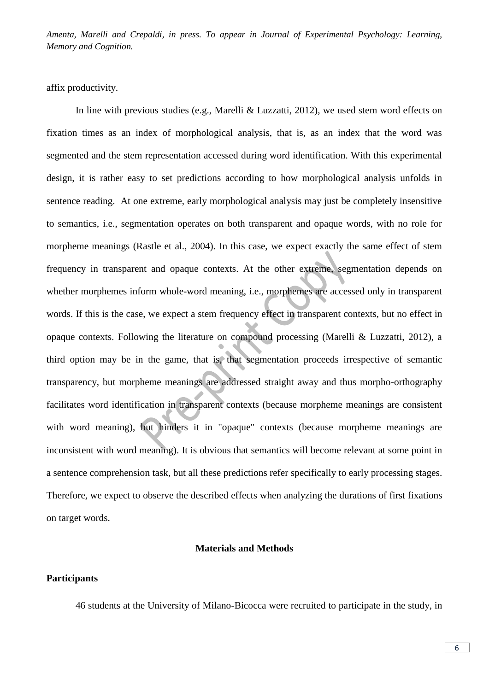affix productivity.

In line with previous studies (e.g., Marelli & Luzzatti, 2012), we used stem word effects on fixation times as an index of morphological analysis, that is, as an index that the word was segmented and the stem representation accessed during word identification. With this experimental design, it is rather easy to set predictions according to how morphological analysis unfolds in sentence reading. At one extreme, early morphological analysis may just be completely insensitive to semantics, i.e., segmentation operates on both transparent and opaque words, with no role for morpheme meanings (Rastle et al., 2004). In this case, we expect exactly the same effect of stem frequency in transparent and opaque contexts. At the other extreme, segmentation depends on whether morphemes inform whole-word meaning, i.e., morphemes are accessed only in transparent words. If this is the case, we expect a stem frequency effect in transparent contexts, but no effect in opaque contexts. Following the literature on compound processing (Marelli & Luzzatti, 2012), a third option may be in the game, that is, that segmentation proceeds irrespective of semantic transparency, but morpheme meanings are addressed straight away and thus morpho-orthography facilitates word identification in transparent contexts (because morpheme meanings are consistent with word meaning), but hinders it in "opaque" contexts (because morpheme meanings are inconsistent with word meaning). It is obvious that semantics will become relevant at some point in a sentence comprehension task, but all these predictions refer specifically to early processing stages. Therefore, we expect to observe the described effects when analyzing the durations of first fixations on target words.

#### **Materials and Methods**

## **Participants**

46 students at the University of Milano-Bicocca were recruited to participate in the study, in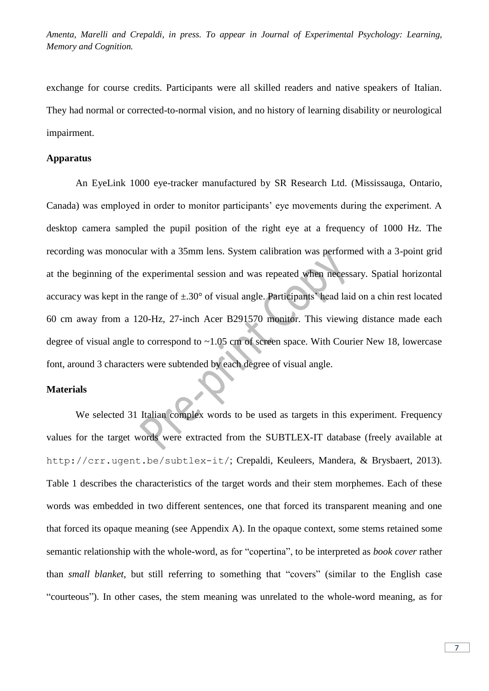exchange for course credits. Participants were all skilled readers and native speakers of Italian. They had normal or corrected-to-normal vision, and no history of learning disability or neurological impairment.

# **Apparatus**

An EyeLink 1000 eye-tracker manufactured by SR Research Ltd. (Mississauga, Ontario, Canada) was employed in order to monitor participants' eye movements during the experiment. A desktop camera sampled the pupil position of the right eye at a frequency of 1000 Hz. The recording was monocular with a 35mm lens. System calibration was performed with a 3-point grid at the beginning of the experimental session and was repeated when necessary. Spatial horizontal accuracy was kept in the range of  $\pm 0.30^{\circ}$  of visual angle. Participants' head laid on a chin rest located 60 cm away from a 120-Hz, 27-inch Acer B291570 monitor. This viewing distance made each degree of visual angle to correspond to ~1.05 cm of screen space. With Courier New 18, lowercase font, around 3 characters were subtended by each degree of visual angle.

#### **Materials**

We selected 31 Italian complex words to be used as targets in this experiment. Frequency values for the target words were extracted from the SUBTLEX-IT database (freely available at http://crr.ugent.be/subtlex-it/; Crepaldi, Keuleers, Mandera, & Brysbaert, 2013). Table 1 describes the characteristics of the target words and their stem morphemes. Each of these words was embedded in two different sentences, one that forced its transparent meaning and one that forced its opaque meaning (see Appendix A). In the opaque context, some stems retained some semantic relationship with the whole-word, as for "copertina", to be interpreted as *book cover* rather than *small blanket*, but still referring to something that "covers" (similar to the English case "courteous"). In other cases, the stem meaning was unrelated to the whole-word meaning, as for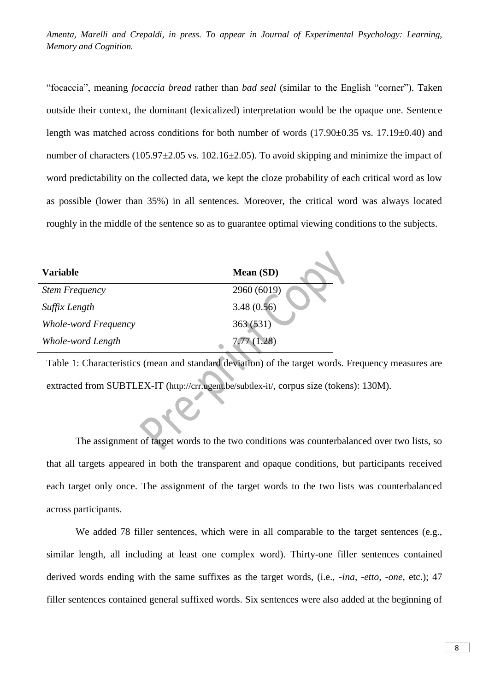"focaccia", meaning *focaccia bread* rather than *bad seal* (similar to the English "corner"). Taken outside their context, the dominant (lexicalized) interpretation would be the opaque one. Sentence length was matched across conditions for both number of words (17.90±0.35 vs. 17.19±0.40) and number of characters (105.97 $\pm$ 2.05 vs. 102.16 $\pm$ 2.05). To avoid skipping and minimize the impact of word predictability on the collected data, we kept the cloze probability of each critical word as low as possible (lower than 35%) in all sentences. Moreover, the critical word was always located roughly in the middle of the sentence so as to guarantee optimal viewing conditions to the subjects.

 $\triangle$ 

| <b>Variable</b>       | Mean (SD)                |
|-----------------------|--------------------------|
| <b>Stem Frequency</b> | 2960 (6019)              |
| Suffix Length         |                          |
| Whole-word Frequency  | 3.48 (0.56)<br>363 (531) |
| Whole-word Length     | 7.77(1.28)               |

Table 1: Characteristics (mean and standard deviation) of the target words. Frequency measures are extracted from SUBTLEX-IT (http://crr.ugent.be/subtlex-it/, corpus size (tokens): 130M).

The assignment of target words to the two conditions was counterbalanced over two lists, so that all targets appeared in both the transparent and opaque conditions, but participants received each target only once. The assignment of the target words to the two lists was counterbalanced across participants.

We added 78 filler sentences, which were in all comparable to the target sentences (e.g., similar length, all including at least one complex word). Thirty-one filler sentences contained derived words ending with the same suffixes as the target words, (i.e., *-ina*, *-etto*, *-one*, etc.); 47 filler sentences contained general suffixed words. Six sentences were also added at the beginning of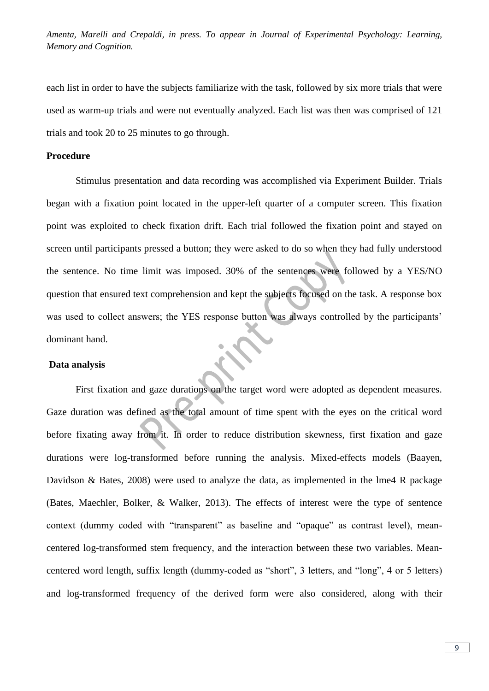each list in order to have the subjects familiarize with the task, followed by six more trials that were used as warm-up trials and were not eventually analyzed. Each list was then was comprised of 121 trials and took 20 to 25 minutes to go through.

#### **Procedure**

Stimulus presentation and data recording was accomplished via Experiment Builder. Trials began with a fixation point located in the upper-left quarter of a computer screen. This fixation point was exploited to check fixation drift. Each trial followed the fixation point and stayed on screen until participants pressed a button; they were asked to do so when they had fully understood the sentence. No time limit was imposed. 30% of the sentences were followed by a YES/NO question that ensured text comprehension and kept the subjects focused on the task. A response box was used to collect answers; the YES response button was always controlled by the participants' dominant hand.

#### **Data analysis**

First fixation and gaze durations on the target word were adopted as dependent measures. Gaze duration was defined as the total amount of time spent with the eyes on the critical word before fixating away from it. In order to reduce distribution skewness, first fixation and gaze durations were log-transformed before running the analysis. Mixed-effects models (Baayen, Davidson & Bates, 2008) were used to analyze the data, as implemented in the lme4 R package (Bates, Maechler, Bolker, & Walker, 2013). The effects of interest were the type of sentence context (dummy coded with "transparent" as baseline and "opaque" as contrast level), meancentered log-transformed stem frequency, and the interaction between these two variables. Meancentered word length, suffix length (dummy-coded as "short", 3 letters, and "long", 4 or 5 letters) and log-transformed frequency of the derived form were also considered, along with their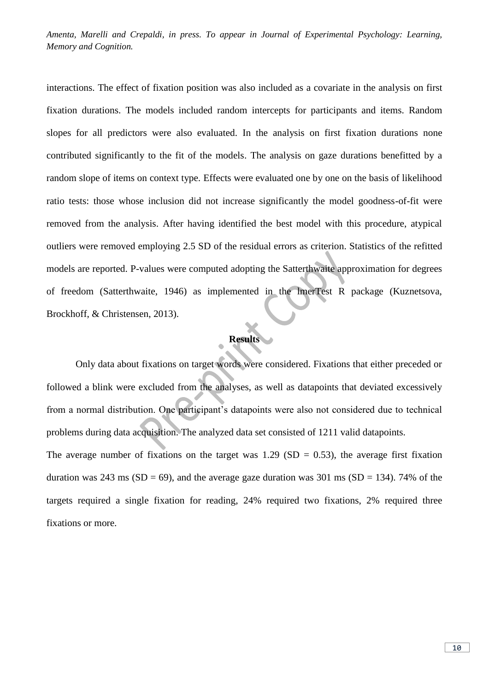interactions. The effect of fixation position was also included as a covariate in the analysis on first fixation durations. The models included random intercepts for participants and items. Random slopes for all predictors were also evaluated. In the analysis on first fixation durations none contributed significantly to the fit of the models. The analysis on gaze durations benefitted by a random slope of items on context type. Effects were evaluated one by one on the basis of likelihood ratio tests: those whose inclusion did not increase significantly the model goodness-of-fit were removed from the analysis. After having identified the best model with this procedure, atypical outliers were removed employing 2.5 SD of the residual errors as criterion. Statistics of the refitted models are reported. P-values were computed adopting the Satterthwaite approximation for degrees of freedom (Satterthwaite, 1946) as implemented in the lmerTest R package (Kuznetsova, Brockhoff, & Christensen, 2013).

# **Results**

Only data about fixations on target words were considered. Fixations that either preceded or followed a blink were excluded from the analyses, as well as datapoints that deviated excessively from a normal distribution. One participant's datapoints were also not considered due to technical problems during data acquisition. The analyzed data set consisted of 1211 valid datapoints. The average number of fixations on the target was  $1.29$  (SD = 0.53), the average first fixation duration was 243 ms (SD = 69), and the average gaze duration was 301 ms (SD = 134). 74% of the targets required a single fixation for reading, 24% required two fixations, 2% required three fixations or more.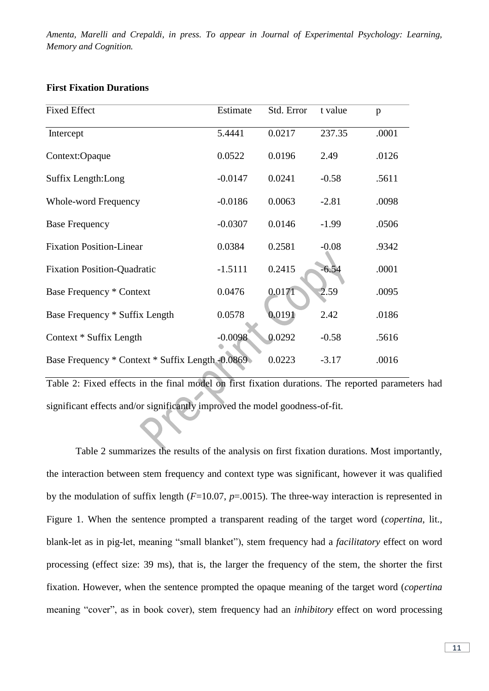# **First Fixation Durations**

| <b>Fixed Effect</b>                              | Estimate  | Std. Error | t value | p     |
|--------------------------------------------------|-----------|------------|---------|-------|
| Intercept                                        | 5.4441    | 0.0217     | 237.35  | .0001 |
| Context:Opaque                                   | 0.0522    | 0.0196     | 2.49    | .0126 |
| Suffix Length: Long                              | $-0.0147$ | 0.0241     | $-0.58$ | .5611 |
| Whole-word Frequency                             | $-0.0186$ | 0.0063     | $-2.81$ | .0098 |
| <b>Base Frequency</b>                            | $-0.0307$ | 0.0146     | $-1.99$ | .0506 |
| <b>Fixation Position-Linear</b>                  | 0.0384    | 0.2581     | $-0.08$ | .9342 |
| <b>Fixation Position-Quadratic</b>               | $-1.5111$ | 0.2415     | $-6.54$ | .0001 |
| <b>Base Frequency * Context</b>                  | 0.0476    | 0.0171     | 2.59    | .0095 |
| Base Frequency * Suffix Length                   | 0.0578    | 0.0191     | 2.42    | .0186 |
| Context * Suffix Length                          | $-0.0098$ | 0.0292     | $-0.58$ | .5616 |
| Base Frequency * Context * Suffix Length -0.0869 |           | 0.0223     | $-3.17$ | .0016 |

Table 2: Fixed effects in the final model on first fixation durations. The reported parameters had significant effects and/or significantly improved the model goodness-of-fit.

Table 2 summarizes the results of the analysis on first fixation durations. Most importantly, the interaction between stem frequency and context type was significant, however it was qualified by the modulation of suffix length (*F*=10.07, *p*=.0015). The three-way interaction is represented in Figure 1. When the sentence prompted a transparent reading of the target word (*copertina*, lit., blank-let as in pig-let, meaning "small blanket"), stem frequency had a *facilitatory* effect on word processing (effect size: 39 ms), that is, the larger the frequency of the stem, the shorter the first fixation. However, when the sentence prompted the opaque meaning of the target word (*copertina* meaning "cover", as in book cover), stem frequency had an *inhibitory* effect on word processing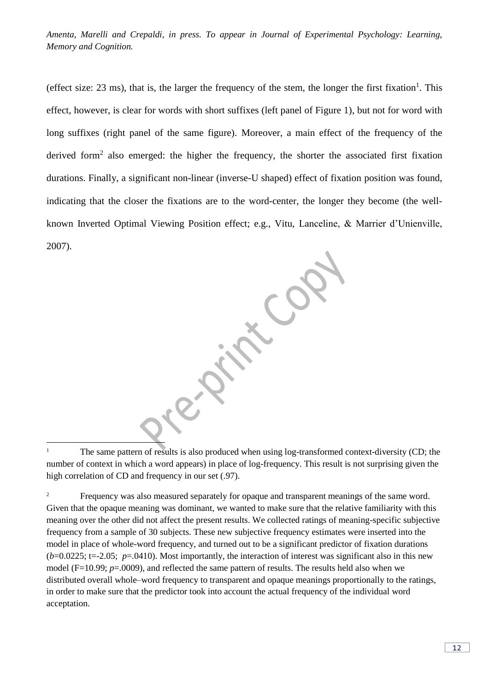(effect size:  $23 \text{ ms}$ ), that is, the larger the frequency of the stem, the longer the first fixation<sup>1</sup>. This effect, however, is clear for words with short suffixes (left panel of Figure 1), but not for word with long suffixes (right panel of the same figure). Moreover, a main effect of the frequency of the derived form<sup>2</sup> also emerged: the higher the frequency, the shorter the associated first fixation durations. Finally, a significant non-linear (inverse-U shaped) effect of fixation position was found, indicating that the closer the fixations are to the word-center, the longer they become (the wellknown Inverted Optimal Viewing Position effect; e.g., Vitu, Lanceline, & Marrier d'Unienville, 2007).

È, <sup>1</sup> The same pattern of results is also produced when using log-transformed context-diversity (CD; the number of context in which a word appears) in place of log-frequency. This result is not surprising given the high correlation of CD and frequency in our set (.97).

<sup>&</sup>lt;sup>2</sup> Frequency was also measured separately for opaque and transparent meanings of the same word. Given that the opaque meaning was dominant, we wanted to make sure that the relative familiarity with this meaning over the other did not affect the present results. We collected ratings of meaning-specific subjective frequency from a sample of 30 subjects. These new subjective frequency estimates were inserted into the model in place of whole-word frequency, and turned out to be a significant predictor of fixation durations  $(b=0.0225; t=.205; p=.0410)$ . Most importantly, the interaction of interest was significant also in this new model (F=10.99; *p*=.0009), and reflected the same pattern of results. The results held also when we distributed overall whole–word frequency to transparent and opaque meanings proportionally to the ratings, in order to make sure that the predictor took into account the actual frequency of the individual word acceptation.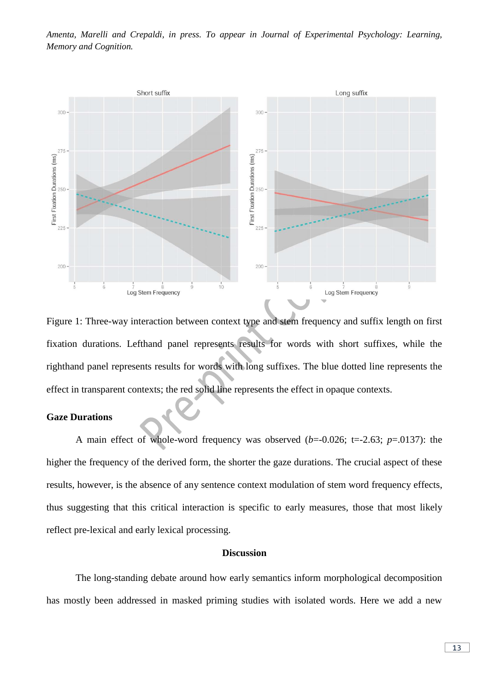

Figure 1: Three-way interaction between context type and stem frequency and suffix length on first fixation durations. Lefthand panel represents results for words with short suffixes, while the righthand panel represents results for words with long suffixes. The blue dotted line represents the effect in transparent contexts; the red solid line represents the effect in opaque contexts.

#### **Gaze Durations**

A main effect of whole-word frequency was observed  $(b=-0.026; t=-2.63; p=.0137)$ : the higher the frequency of the derived form, the shorter the gaze durations. The crucial aspect of these results, however, is the absence of any sentence context modulation of stem word frequency effects, thus suggesting that this critical interaction is specific to early measures, those that most likely reflect pre-lexical and early lexical processing.

#### **Discussion**

The long-standing debate around how early semantics inform morphological decomposition has mostly been addressed in masked priming studies with isolated words. Here we add a new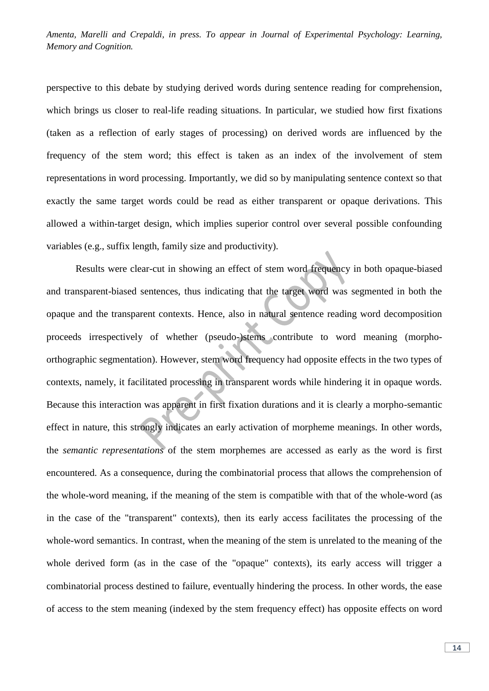perspective to this debate by studying derived words during sentence reading for comprehension, which brings us closer to real-life reading situations. In particular, we studied how first fixations (taken as a reflection of early stages of processing) on derived words are influenced by the frequency of the stem word; this effect is taken as an index of the involvement of stem representations in word processing. Importantly, we did so by manipulating sentence context so that exactly the same target words could be read as either transparent or opaque derivations. This allowed a within-target design, which implies superior control over several possible confounding variables (e.g., suffix length, family size and productivity).

Results were clear-cut in showing an effect of stem word frequency in both opaque-biased and transparent-biased sentences, thus indicating that the target word was segmented in both the opaque and the transparent contexts. Hence, also in natural sentence reading word decomposition proceeds irrespectively of whether (pseudo-)stems contribute to word meaning (morphoorthographic segmentation). However, stem word frequency had opposite effects in the two types of contexts, namely, it facilitated processing in transparent words while hindering it in opaque words. Because this interaction was apparent in first fixation durations and it is clearly a morpho-semantic effect in nature, this strongly indicates an early activation of morpheme meanings. In other words, the *semantic representations* of the stem morphemes are accessed as early as the word is first encountered. As a consequence, during the combinatorial process that allows the comprehension of the whole-word meaning, if the meaning of the stem is compatible with that of the whole-word (as in the case of the "transparent" contexts), then its early access facilitates the processing of the whole-word semantics. In contrast, when the meaning of the stem is unrelated to the meaning of the whole derived form (as in the case of the "opaque" contexts), its early access will trigger a combinatorial process destined to failure, eventually hindering the process. In other words, the ease of access to the stem meaning (indexed by the stem frequency effect) has opposite effects on word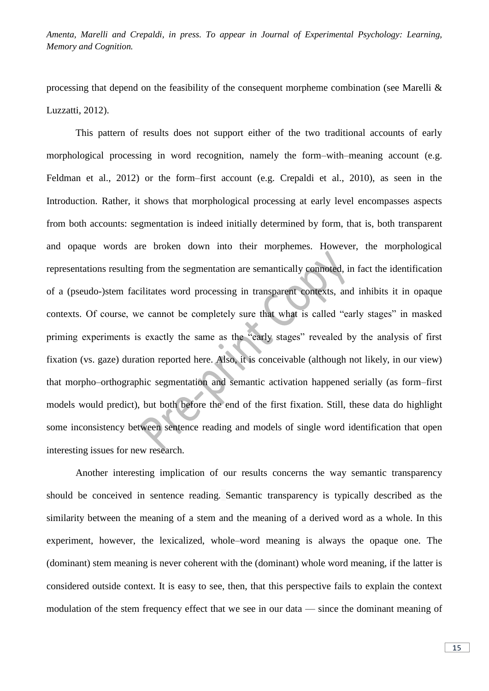processing that depend on the feasibility of the consequent morpheme combination (see Marelli & Luzzatti, 2012).

This pattern of results does not support either of the two traditional accounts of early morphological processing in word recognition, namely the form–with–meaning account (e.g. Feldman et al., 2012) or the form–first account (e.g. Crepaldi et al., 2010), as seen in the Introduction. Rather, it shows that morphological processing at early level encompasses aspects from both accounts: segmentation is indeed initially determined by form, that is, both transparent and opaque words are broken down into their morphemes. However, the morphological representations resulting from the segmentation are semantically connoted, in fact the identification of a (pseudo-)stem facilitates word processing in transparent contexts, and inhibits it in opaque contexts. Of course, we cannot be completely sure that what is called "early stages" in masked priming experiments is exactly the same as the "early stages" revealed by the analysis of first fixation (vs. gaze) duration reported here. Also, it is conceivable (although not likely, in our view) that morpho–orthographic segmentation and semantic activation happened serially (as form–first models would predict), but both before the end of the first fixation. Still, these data do highlight some inconsistency between sentence reading and models of single word identification that open interesting issues for new research.

Another interesting implication of our results concerns the way semantic transparency should be conceived in sentence reading. Semantic transparency is typically described as the similarity between the meaning of a stem and the meaning of a derived word as a whole. In this experiment, however, the lexicalized, whole–word meaning is always the opaque one. The (dominant) stem meaning is never coherent with the (dominant) whole word meaning, if the latter is considered outside context. It is easy to see, then, that this perspective fails to explain the context modulation of the stem frequency effect that we see in our data — since the dominant meaning of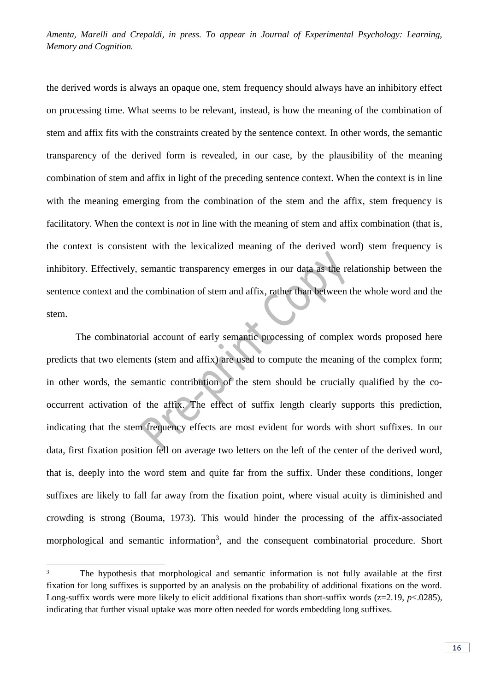the derived words is always an opaque one, stem frequency should always have an inhibitory effect on processing time. What seems to be relevant, instead, is how the meaning of the combination of stem and affix fits with the constraints created by the sentence context. In other words, the semantic transparency of the derived form is revealed, in our case, by the plausibility of the meaning combination of stem and affix in light of the preceding sentence context. When the context is in line with the meaning emerging from the combination of the stem and the affix, stem frequency is facilitatory. When the context is *not* in line with the meaning of stem and affix combination (that is, the context is consistent with the lexicalized meaning of the derived word) stem frequency is inhibitory. Effectively, semantic transparency emerges in our data as the relationship between the sentence context and the combination of stem and affix, rather than between the whole word and the stem.

The combinatorial account of early semantic processing of complex words proposed here predicts that two elements (stem and affix) are used to compute the meaning of the complex form; in other words, the semantic contribution of the stem should be crucially qualified by the cooccurrent activation of the affix. The effect of suffix length clearly supports this prediction, indicating that the stem frequency effects are most evident for words with short suffixes. In our data, first fixation position fell on average two letters on the left of the center of the derived word, that is, deeply into the word stem and quite far from the suffix. Under these conditions, longer suffixes are likely to fall far away from the fixation point, where visual acuity is diminished and crowding is strong (Bouma, 1973). This would hinder the processing of the affix-associated morphological and semantic information<sup>3</sup>, and the consequent combinatorial procedure. Short

 $\overline{3}$ <sup>3</sup> The hypothesis that morphological and semantic information is not fully available at the first fixation for long suffixes is supported by an analysis on the probability of additional fixations on the word. Long-suffix words were more likely to elicit additional fixations than short-suffix words  $(z=2.19, p<0.0285)$ , indicating that further visual uptake was more often needed for words embedding long suffixes.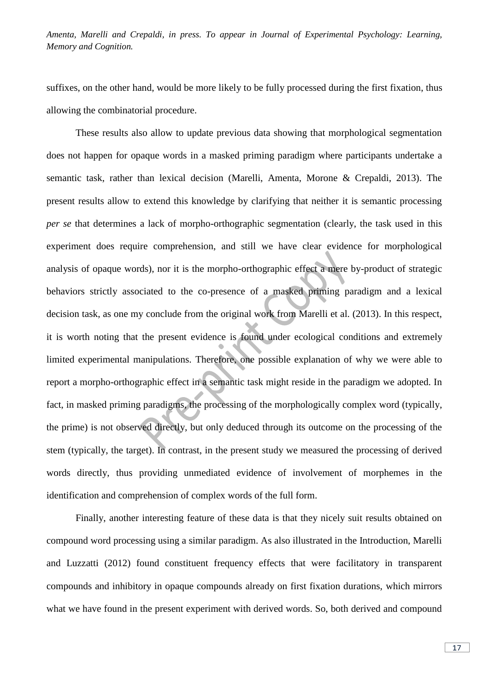suffixes, on the other hand, would be more likely to be fully processed during the first fixation, thus allowing the combinatorial procedure.

These results also allow to update previous data showing that morphological segmentation does not happen for opaque words in a masked priming paradigm where participants undertake a semantic task, rather than lexical decision (Marelli, Amenta, Morone & Crepaldi, 2013). The present results allow to extend this knowledge by clarifying that neither it is semantic processing *per se* that determines a lack of morpho-orthographic segmentation (clearly, the task used in this experiment does require comprehension, and still we have clear evidence for morphological analysis of opaque words), nor it is the morpho-orthographic effect a mere by-product of strategic behaviors strictly associated to the co-presence of a masked priming paradigm and a lexical decision task, as one my conclude from the original work from Marelli et al. (2013). In this respect, it is worth noting that the present evidence is found under ecological conditions and extremely limited experimental manipulations. Therefore, one possible explanation of why we were able to report a morpho-orthographic effect in a semantic task might reside in the paradigm we adopted. In fact, in masked priming paradigms, the processing of the morphologically complex word (typically, the prime) is not observed directly, but only deduced through its outcome on the processing of the stem (typically, the target). In contrast, in the present study we measured the processing of derived words directly, thus providing unmediated evidence of involvement of morphemes in the identification and comprehension of complex words of the full form.

Finally, another interesting feature of these data is that they nicely suit results obtained on compound word processing using a similar paradigm. As also illustrated in the Introduction, Marelli and Luzzatti (2012) found constituent frequency effects that were facilitatory in transparent compounds and inhibitory in opaque compounds already on first fixation durations, which mirrors what we have found in the present experiment with derived words. So, both derived and compound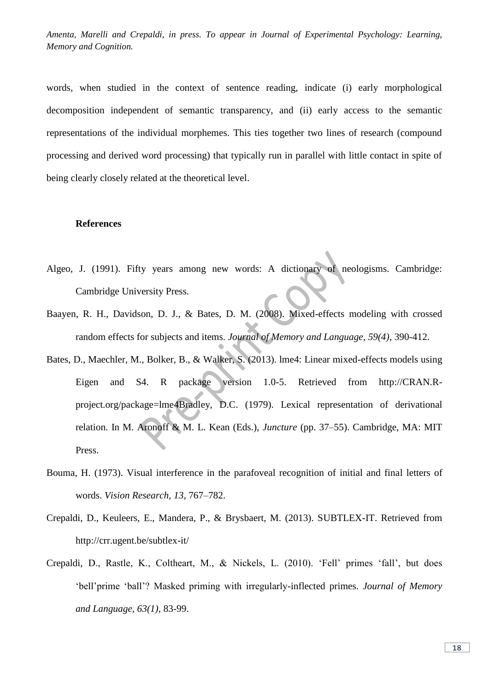words, when studied in the context of sentence reading, indicate (i) early morphological decomposition independent of semantic transparency, and (ii) early access to the semantic representations of the individual morphemes. This ties together two lines of research (compound processing and derived word processing) that typically run in parallel with little contact in spite of being clearly closely related at the theoretical level.

#### **References**

- Algeo, J. (1991). Fifty years among new words: A dictionary of neologisms. Cambridge: Cambridge University Press.
- Baayen, R. H., Davidson, D. J., & Bates, D. M. (2008). Mixed-effects modeling with crossed random effects for subjects and items. *Journal of Memory and Language, 59(4)*, 390-412.
- Bates, D., Maechler, M., Bolker, B., & Walker, S. (2013). lme4: Linear mixed-effects models using Eigen and S4. R package version 1.0-5. Retrieved from http://CRAN.Rproject.org/package=lme4Bradley, D.C. (1979). Lexical representation of derivational relation. In M. Aronoff & M. L. Kean (Eds.), *Juncture* (pp. 37–55). Cambridge, MA: MIT Press.
- Bouma, H. (1973). Visual interference in the parafoveal recognition of initial and final letters of words. *Vision Research, 13*, 767–782.
- Crepaldi, D., Keuleers, E., Mandera, P., & Brysbaert, M. (2013). SUBTLEX-IT. Retrieved from http://crr.ugent.be/subtlex-it/
- Crepaldi, D., Rastle, K., Coltheart, M., & Nickels, L. (2010). 'Fell' primes 'fall', but does 'bell'prime 'ball'? Masked priming with irregularly-inflected primes. *Journal of Memory and Language, 63(1)*, 83-99.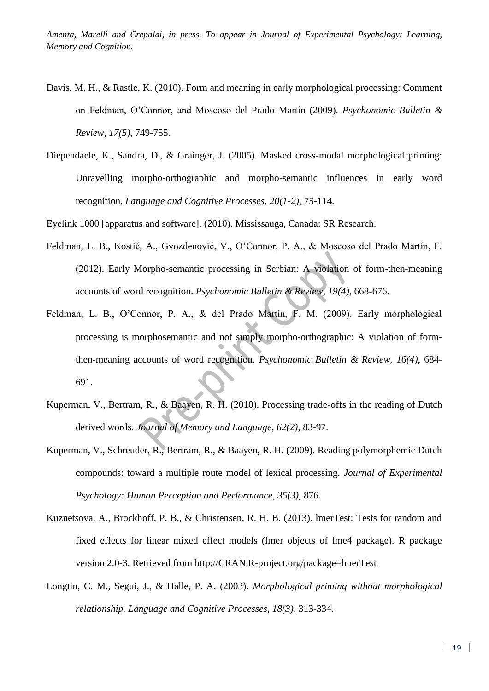- Davis, M. H., & Rastle, K. (2010). Form and meaning in early morphological processing: Comment on Feldman, O'Connor, and Moscoso del Prado Martín (2009). *Psychonomic Bulletin & Review, 17(5)*, 749-755.
- Diependaele, K., Sandra, D., & Grainger, J. (2005). Masked cross-modal morphological priming: Unravelling morpho-orthographic and morpho-semantic influences in early word recognition. *Language and Cognitive Processes, 20(1-2)*, 75-114.

Eyelink 1000 [apparatus and software]. (2010). Mississauga, Canada: SR Research.

- Feldman, L. B., Kostić, A., Gvozdenović, V., O'Connor, P. A., & Moscoso del Prado Martín, F. (2012). Early Morpho-semantic processing in Serbian: A violation of form-then-meaning accounts of word recognition. *Psychonomic Bulletin & Review, 19(4)*, 668-676.
- Feldman, L. B., O'Connor, P. A., & del Prado Martín, F. M. (2009). Early morphological processing is morphosemantic and not simply morpho-orthographic: A violation of formthen-meaning accounts of word recognition. *Psychonomic Bulletin & Review, 16(4)*, 684- 691.
- Kuperman, V., Bertram, R., & Baayen, R. H. (2010). Processing trade-offs in the reading of Dutch derived words. *Journal of Memory and Language, 62(2)*, 83-97.
- Kuperman, V., Schreuder, R., Bertram, R., & Baayen, R. H. (2009). Reading polymorphemic Dutch compounds: toward a multiple route model of lexical processing. *Journal of Experimental Psychology: Human Perception and Performance, 35(3)*, 876.
- Kuznetsova, A., Brockhoff, P. B., & Christensen, R. H. B. (2013). lmerTest: Tests for random and fixed effects for linear mixed effect models (lmer objects of lme4 package). R package version 2.0-3. Retrieved from http://CRAN.R-project.org/package=lmerTest
- Longtin, C. M., Segui, J., & Halle, P. A. (2003). *Morphological priming without morphological relationship. Language and Cognitive Processes, 18(3)*, 313-334.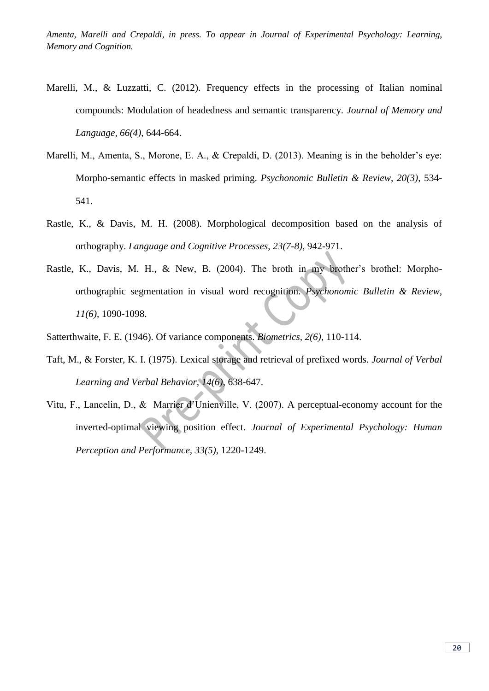- Marelli, M., & Luzzatti, C. (2012). Frequency effects in the processing of Italian nominal compounds: Modulation of headedness and semantic transparency. *Journal of Memory and Language, 66(4)*, 644-664.
- Marelli, M., Amenta, S., Morone, E. A., & Crepaldi, D. (2013). Meaning is in the beholder's eye: Morpho-semantic effects in masked priming. *Psychonomic Bulletin & Review, 20(3)*, 534- 541.
- Rastle, K., & Davis, M. H. (2008). Morphological decomposition based on the analysis of orthography. *Language and Cognitive Processes, 23(7-8)*, 942-971.
- Rastle, K., Davis, M. H., & New, B. (2004). The broth in my brother's brothel: Morphoorthographic segmentation in visual word recognition. *Psychonomic Bulletin & Review, 11(6)*, 1090-1098.
- Satterthwaite, F. E. (1946). Of variance components. *Biometrics, 2(6)*, 110-114.
- Taft, M., & Forster, K. I. (1975). Lexical storage and retrieval of prefixed words. *Journal of Verbal Learning and Verbal Behavior, 14(6)*, 638-647.
- Vitu, F., Lancelin, D., & Marrier d'Unienville, V. (2007). A perceptual-economy account for the inverted-optimal viewing position effect. *Journal of Experimental Psychology: Human Perception and Performance, 33(5)*, 1220-1249.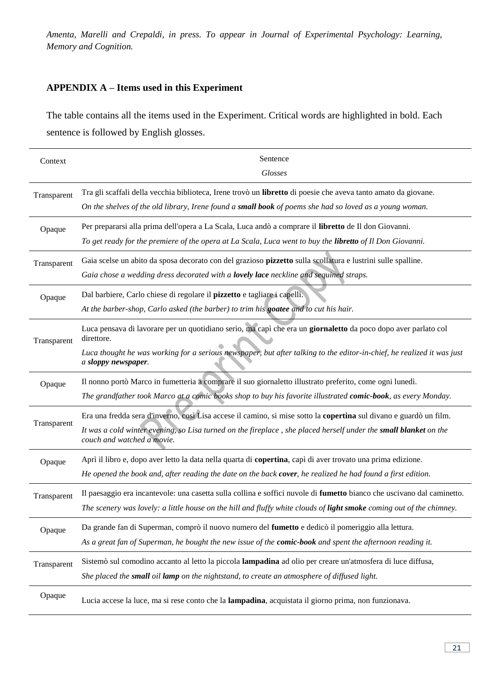# **APPENDIX A – Items used in this Experiment**

The table contains all the items used in the Experiment. Critical words are highlighted in bold. Each sentence is followed by English glosses.

| Context     | Sentence                                                                                                                                       |
|-------------|------------------------------------------------------------------------------------------------------------------------------------------------|
|             | <b>Glosses</b>                                                                                                                                 |
| Transparent | Tra gli scaffali della vecchia biblioteca, Irene trovò un libretto di poesie che aveva tanto amato da giovane.                                 |
|             | On the shelves of the old library, Irene found a small book of poems she had so loved as a young woman.                                        |
| Opaque      | Per prepararsi alla prima dell'opera a La Scala, Luca andò a comprare il libretto de Il don Giovanni.                                          |
|             | To get ready for the premiere of the opera at La Scala, Luca went to buy the libretto of Il Don Giovanni.                                      |
| Transparent | Gaia scelse un abito da sposa decorato con del grazioso pizzetto sulla scollatura e lustrini sulle spalline.                                   |
|             | Gaia chose a wedding dress decorated with a lovely lace neckline and sequined straps.                                                          |
| Opaque      | Dal barbiere, Carlo chiese di regolare il pizzetto e tagliare i capelli.                                                                       |
|             | At the barber-shop, Carlo asked (the barber) to trim his goatee and to cut his hair.                                                           |
| Transparent | Luca pensava di lavorare per un quotidiano serio, ma capì che era un giornaletto da poco dopo aver parlato col<br>direttore.                   |
|             | Luca thought he was working for a serious newspaper, but after talking to the editor-in-chief, he realized it was just<br>a sloppy newspaper.  |
| Opaque      | Il nonno portò Marco in fumetteria a comprare il suo giornaletto illustrato preferito, come ogni lunedì.                                       |
|             | The grandfather took Marco at a comic books shop to buy his favorite illustrated comic-book, as every Monday.                                  |
|             | Era una fredda sera d'inverno, così Lisa accese il camino, si mise sotto la copertina sul divano e guardò un film.                             |
| Transparent | It was a cold winter evening, so Lisa turned on the fireplace, she placed herself under the small blanket on the<br>couch and watched a movie. |
| Opaque      | Aprì il libro e, dopo aver letto la data nella quarta di copertina, capì di aver trovato una prima edizione.                                   |
|             | He opened the book and, after reading the date on the back cover, he realized he had found a first edition.                                    |
| Transparent | Il paesaggio era incantevole: una casetta sulla collina e soffici nuvole di fumetto bianco che uscivano dal caminetto.                         |
|             | The scenery was lovely: a little house on the hill and fluffy white clouds of light smoke coming out of the chimney.                           |
| Opaque      | Da grande fan di Superman, comprò il nuovo numero del fumetto e dedicò il pomeriggio alla lettura.                                             |
|             | As a great fan of Superman, he bought the new issue of the comic-book and spent the afternoon reading it.                                      |
| Transparent | Sistemò sul comodino accanto al letto la piccola lampadina ad olio per creare un'atmosfera di luce diffusa,                                    |
|             | She placed the <b>small</b> oil <b>lamp</b> on the nightstand, to create an atmosphere of diffused light.                                      |
| Opaque      | Lucia accese la luce, ma si rese conto che la lampadina, acquistata il giorno prima, non funzionava.                                           |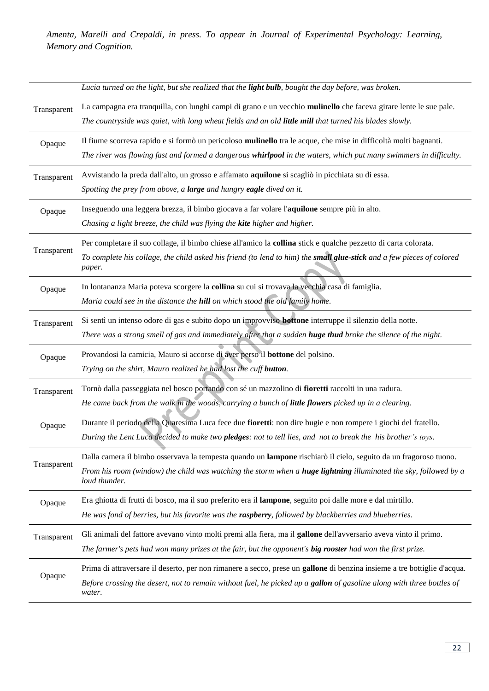|             | Lucia turned on the light, but she realized that the light bulb, bought the day before, was broken.                                                                                                                                                          |
|-------------|--------------------------------------------------------------------------------------------------------------------------------------------------------------------------------------------------------------------------------------------------------------|
| Transparent | La campagna era tranquilla, con lunghi campi di grano e un vecchio mulinello che faceva girare lente le sue pale.<br>The countryside was quiet, with long wheat fields and an old little mill that turned his blades slowly.                                 |
| Opaque      | Il fiume scorreva rapido e si formò un pericoloso <b>mulinello</b> tra le acque, che mise in difficoltà molti bagnanti.<br>The river was flowing fast and formed a dangerous whirlpool in the waters, which put many swimmers in difficulty.                 |
| Transparent | Avvistando la preda dall'alto, un grosso e affamato aquilone si scagliò in picchiata su di essa.<br>Spotting the prey from above, a large and hungry eagle dived on it.                                                                                      |
| Opaque      | Inseguendo una leggera brezza, il bimbo giocava a far volare l'aquilone sempre più in alto.<br>Chasing a light breeze, the child was flying the kite higher and higher.                                                                                      |
| Transparent | Per completare il suo collage, il bimbo chiese all'amico la collina stick e qualche pezzetto di carta colorata.<br>To complete his collage, the child asked his friend (to lend to him) the small glue-stick and a few pieces of colored<br>paper.           |
| Opaque      | In lontananza Maria poteva scorgere la collina su cui si trovava la vecchia casa di famiglia.<br>Maria could see in the distance the hill on which stood the old family home.                                                                                |
| Transparent | Si sentì un intenso odore di gas e subito dopo un improvviso <b>bottone</b> interruppe il silenzio della notte.<br>There was a strong smell of gas and immediately after that a sudden huge thud broke the silence of the night.                             |
| Opaque      | Provandosi la camicia, Mauro si accorse di aver perso il bottone del polsino.<br>Trying on the shirt, Mauro realized he had lost the cuff button.                                                                                                            |
| Transparent | Tornò dalla passeggiata nel bosco portando con sé un mazzolino di fioretti raccolti in una radura.<br>He came back from the walk in the woods, carrying a bunch of little flowers picked up in a clearing.                                                   |
| Opaque      | Durante il periodo della Quaresima Luca fece due fioretti: non dire bugie e non rompere i giochi del fratello.<br>During the Lent Luca decided to make two pledges: not to tell lies, and not to break the his brother's toys.                               |
| Transparent | Dalla camera il bimbo osservava la tempesta quando un lampone rischiarò il cielo, seguito da un fragoroso tuono.<br>From his room (window) the child was watching the storm when a <b>huge lightning</b> illuminated the sky, followed by a<br>loud thunder. |
| Opaque      | Era ghiotta di frutti di bosco, ma il suo preferito era il lampone, seguito poi dalle more e dal mirtillo.<br>He was fond of berries, but his favorite was the raspberry, followed by blackberries and blueberries.                                          |
| Transparent | Gli animali del fattore avevano vinto molti premi alla fiera, ma il gallone dell'avversario aveva vinto il primo.<br>The farmer's pets had won many prizes at the fair, but the opponent's big rooster had won the first prize.                              |
| Opaque      | Prima di attraversare il deserto, per non rimanere a secco, prese un gallone di benzina insieme a tre bottiglie d'acqua.<br>Before crossing the desert, not to remain without fuel, he picked up a gallon of gasoline along with three bottles of<br>water.  |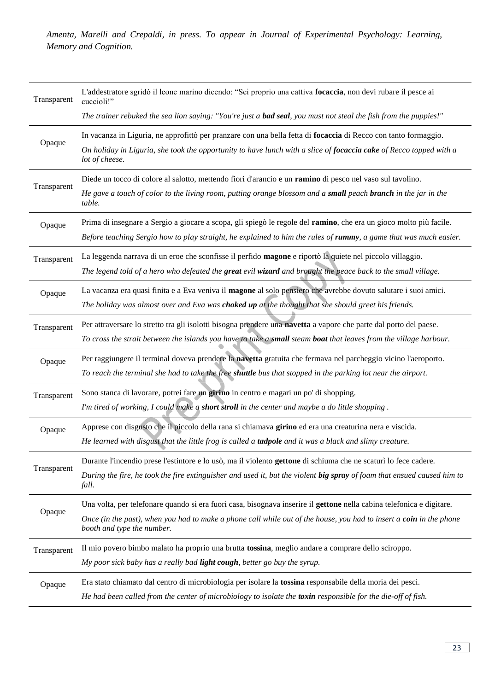| Transparent | L'addestratore sgridò il leone marino dicendo: "Sei proprio una cattiva focaccia, non devi rubare il pesce ai<br>cuccioli!"                       |
|-------------|---------------------------------------------------------------------------------------------------------------------------------------------------|
|             | The trainer rebuked the sea lion saying: "You're just a <b>bad seal</b> , you must not steal the fish from the puppies!"                          |
| Opaque      | In vacanza in Liguria, ne approfittò per pranzare con una bella fetta di focaccia di Recco con tanto formaggio.                                   |
|             | On holiday in Liguria, she took the opportunity to have lunch with a slice of focaccia cake of Recco topped with a<br>lot of cheese.              |
| Transparent | Diede un tocco di colore al salotto, mettendo fiori d'arancio e un ramino di pesco nel vaso sul tavolino.                                         |
|             | He gave a touch of color to the living room, putting orange blossom and a small peach branch in the jar in the<br>table.                          |
| Opaque      | Prima di insegnare a Sergio a giocare a scopa, gli spiegò le regole del ramino, che era un gioco molto più facile.                                |
|             | Before teaching Sergio how to play straight, he explained to him the rules of rummy, a game that was much easier.                                 |
| Transparent | La leggenda narrava di un eroe che sconfisse il perfido magone e riportò la quiete nel piccolo villaggio.                                         |
|             | The legend told of a hero who defeated the great evil wizard and brought the peace back to the small village.                                     |
| Opaque      | La vacanza era quasi finita e a Eva veniva il magone al solo pensiero che avrebbe dovuto salutare i suoi amici.                                   |
|             | The holiday was almost over and Eva was choked up at the thought that she should greet his friends.                                               |
| Transparent | Per attraversare lo stretto tra gli isolotti bisogna prendere una navetta a vapore che parte dal porto del paese.                                 |
|             | To cross the strait between the islands you have to take a small steam boat that leaves from the village harbour.                                 |
| Opaque      | Per raggiungere il terminal doveva prendere la navetta gratuita che fermava nel parcheggio vicino l'aeroporto.                                    |
|             | To reach the terminal she had to take the free shuttle bus that stopped in the parking lot near the airport.                                      |
| Transparent | Sono stanca di lavorare, potrei fare un girino in centro e magari un po' di shopping.                                                             |
|             | I'm tired of working, I could make a short stroll in the center and maybe a do little shopping.                                                   |
| Opaque      | Apprese con disgusto che il piccolo della rana si chiamava girino ed era una creaturina nera e viscida.                                           |
|             | He learned with disgust that the little frog is called a tadpole and it was a black and slimy creature.                                           |
| Transparent | Durante l'incendio prese l'estintore e lo usò, ma il violento gettone di schiuma che ne scaturì lo fece cadere.                                   |
|             | During the fire, he took the fire extinguisher and used it, but the violent big spray of foam that ensued caused him to<br>fall.                  |
|             | Una volta, per telefonare quando si era fuori casa, bisognava inserire il gettone nella cabina telefonica e digitare.                             |
| Opaque      | Once (in the past), when you had to make a phone call while out of the house, you had to insert a coin in the phone<br>booth and type the number. |
| Transparent | Il mio povero bimbo malato ha proprio una brutta tossina, meglio andare a comprare dello sciroppo.                                                |
|             | My poor sick baby has a really bad light cough, better go buy the syrup.                                                                          |
| Opaque      | Era stato chiamato dal centro di microbiologia per isolare la tossina responsabile della moria dei pesci.                                         |
|             | He had been called from the center of microbiology to isolate the toxin responsible for the die-off of fish.                                      |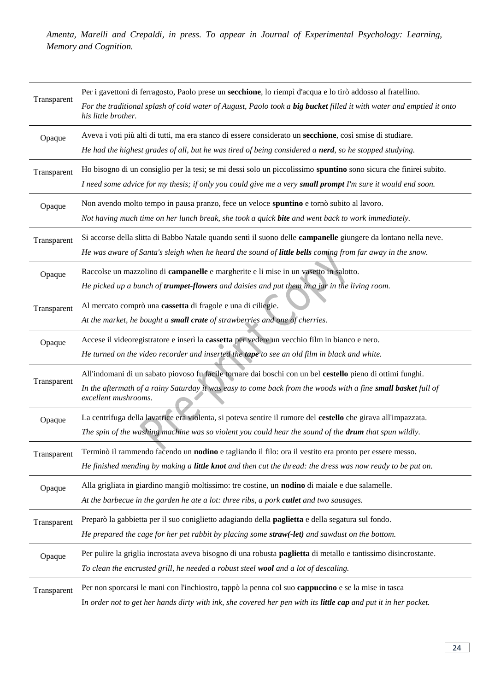| Transparent | Per i gavettoni di ferragosto, Paolo prese un secchione, lo riempì d'acqua e lo tirò addosso al fratellino.<br>For the traditional splash of cold water of August, Paolo took a big bucket filled it with water and emptied it onto<br>his little brother. |
|-------------|------------------------------------------------------------------------------------------------------------------------------------------------------------------------------------------------------------------------------------------------------------|
| Opaque      | Aveva i voti più alti di tutti, ma era stanco di essere considerato un secchione, così smise di studiare.<br>He had the highest grades of all, but he was tired of being considered a nerd, so he stopped studying.                                        |
| Transparent | Ho bisogno di un consiglio per la tesi; se mi dessi solo un piccolissimo spuntino sono sicura che finirei subito.<br>I need some advice for my thesis; if only you could give me a very small prompt I'm sure it would end soon.                           |
| Opaque      | Non avendo molto tempo in pausa pranzo, fece un veloce spuntino e tornò subito al lavoro.<br>Not having much time on her lunch break, she took a quick <b>bite</b> and went back to work immediately.                                                      |
| Transparent | Si accorse della slitta di Babbo Natale quando sentì il suono delle campanelle giungere da lontano nella neve.<br>He was aware of Santa's sleigh when he heard the sound of little bells coming from far away in the snow.                                 |
| Opaque      | Raccolse un mazzolino di campanelle e margherite e li mise in un vasetto in salotto.<br>He picked up a bunch of trumpet-flowers and daisies and put them in a jar in the living room.                                                                      |
| Transparent | Al mercato comprò una cassetta di fragole e una di ciliegie.<br>At the market, he bought a small crate of strawberries and one of cherries.                                                                                                                |
| Opaque      | Accese il videoregistratore e inserì la cassetta per vedere un vecchio film in bianco e nero.<br>He turned on the video recorder and inserted the tape to see an old film in black and white.                                                              |
| Transparent | All'indomani di un sabato piovoso fu facile tornare dai boschi con un bel cestello pieno di ottimi funghi.<br>In the aftermath of a rainy Saturday it was easy to come back from the woods with a fine small basket full of<br>excellent mushrooms.        |
| Opaque      | La centrifuga della lavatrice era violenta, si poteva sentire il rumore del cestello che girava all'impazzata.<br>The spin of the washing machine was so violent you could hear the sound of the drum that spun wildly.                                    |
| Transparent | Terminò il rammendo facendo un nodino e tagliando il filo: ora il vestito era pronto per essere messo.<br>He finished mending by making a little knot and then cut the thread: the dress was now ready to be put on.                                       |
| Opaque      | Alla grigliata in giardino mangiò moltissimo: tre costine, un nodino di maiale e due salamelle.<br>At the barbecue in the garden he ate a lot: three ribs, a pork cutlet and two sausages.                                                                 |
| Transparent | Preparò la gabbietta per il suo coniglietto adagiando della paglietta e della segatura sul fondo.<br>He prepared the cage for her pet rabbit by placing some straw(-let) and sawdust on the bottom.                                                        |
| Opaque      | Per pulire la griglia incrostata aveva bisogno di una robusta paglietta di metallo e tantissimo disincrostante.<br>To clean the encrusted grill, he needed a robust steel wool and a lot of descaling.                                                     |
| Transparent | Per non sporcarsi le mani con l'inchiostro, tappò la penna col suo cappuccino e se la mise in tasca<br>In order not to get her hands dirty with ink, she covered her pen with its little cap and put it in her pocket.                                     |